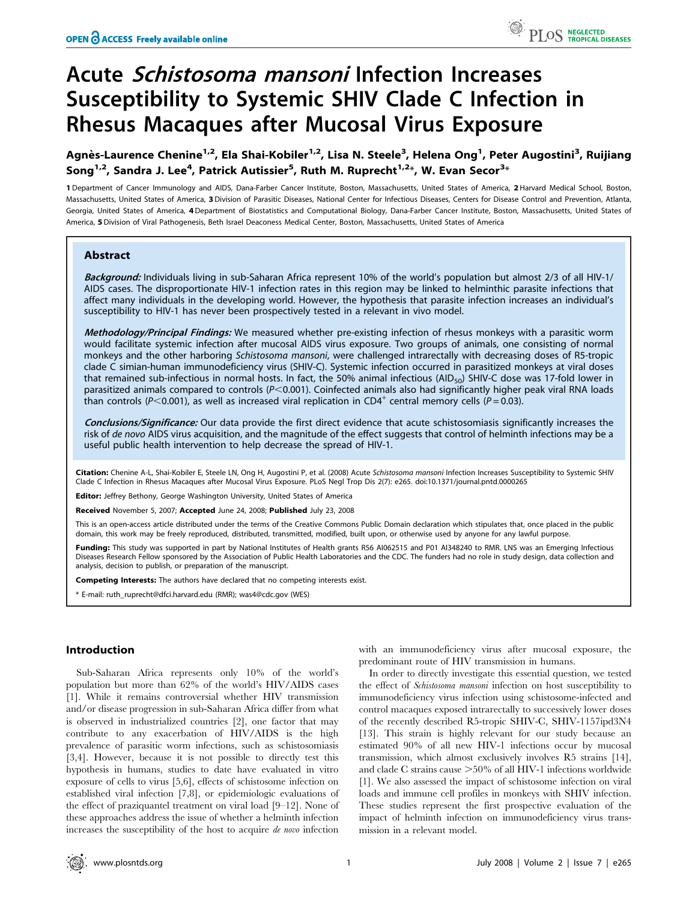# Acute Schistosoma mansoni Infection Increases Susceptibility to Systemic SHIV Clade C Infection in Rhesus Macaques after Mucosal Virus Exposure

Agnès-Laurence Chenine<sup>1,2</sup>, Ela Shai-Kobiler<sup>1,2</sup>, Lisa N. Steele<sup>3</sup>, Helena Ong<sup>1</sup>, Peter Augostini<sup>3</sup>, Ruijiang Song<sup>1,2</sup>, Sandra J. Lee<sup>4</sup>, Patrick Autissier<sup>5</sup>, Ruth M. Ruprecht<sup>1,2</sup>\*, W. Evan Secor<sup>3</sup>\*

1 Department of Cancer Immunology and AIDS, Dana-Farber Cancer Institute, Boston, Massachusetts, United States of America, 2 Harvard Medical School, Boston, Massachusetts, United States of America, 3 Division of Parasitic Diseases, National Center for Infectious Diseases, Centers for Disease Control and Prevention, Atlanta, Georgia, United States of America, 4Department of Biostatistics and Computational Biology, Dana-Farber Cancer Institute, Boston, Massachusetts, United States of America, 5 Division of Viral Pathogenesis, Beth Israel Deaconess Medical Center, Boston, Massachusetts, United States of America

# Abstract

Background: Individuals living in sub-Saharan Africa represent 10% of the world's population but almost 2/3 of all HIV-1/ AIDS cases. The disproportionate HIV-1 infection rates in this region may be linked to helminthic parasite infections that affect many individuals in the developing world. However, the hypothesis that parasite infection increases an individual's susceptibility to HIV-1 has never been prospectively tested in a relevant in vivo model.

Methodology/Principal Findings: We measured whether pre-existing infection of rhesus monkeys with a parasitic worm would facilitate systemic infection after mucosal AIDS virus exposure. Two groups of animals, one consisting of normal monkeys and the other harboring Schistosoma mansoni, were challenged intrarectally with decreasing doses of R5-tropic clade C simian-human immunodeficiency virus (SHIV-C). Systemic infection occurred in parasitized monkeys at viral doses that remained sub-infectious in normal hosts. In fact, the 50% animal infectious (AID<sub>50</sub>) SHIV-C dose was 17-fold lower in parasitized animals compared to controls  $(P<0.001)$ . Coinfected animals also had significantly higher peak viral RNA loads than controls (P<0.001), as well as increased viral replication in CD4<sup>+</sup> central memory cells (P = 0.03).

Conclusions/Significance: Our data provide the first direct evidence that acute schistosomiasis significantly increases the risk of de novo AIDS virus acquisition, and the magnitude of the effect suggests that control of helminth infections may be a useful public health intervention to help decrease the spread of HIV-1.

Citation: Chenine A-L, Shai-Kobiler E, Steele LN, Ong H, Augostini P, et al. (2008) Acute Schistosoma mansoni Infection Increases Susceptibility to Systemic SHIV Clade C Infection in Rhesus Macaques after Mucosal Virus Exposure. PLoS Negl Trop Dis 2(7): e265. doi:10.1371/journal.pntd.0000265

Editor: Jeffrey Bethony, George Washington University, United States of America

Received November 5, 2007; Accepted June 24, 2008; Published July 23, 2008

This is an open-access article distributed under the terms of the Creative Commons Public Domain declaration which stipulates that, once placed in the public domain, this work may be freely reproduced, distributed, transmitted, modified, built upon, or otherwise used by anyone for any lawful purpose.

Funding: This study was supported in part by National Institutes of Health grants R56 AI062515 and P01 AI348240 to RMR. LNS was an Emerging Infectious Diseases Research Fellow sponsored by the Association of Public Health Laboratories and the CDC. The funders had no role in study design, data collection and analysis, decision to publish, or preparation of the manuscript.

Competing Interests: The authors have declared that no competing interests exist.

\* E-mail: ruth\_ruprecht@dfci.harvard.edu (RMR); was4@cdc.gov (WES)

## Introduction

Sub-Saharan Africa represents only 10% of the world's population but more than 62% of the world's HIV/AIDS cases [1]. While it remains controversial whether HIV transmission and/or disease progression in sub-Saharan Africa differ from what is observed in industrialized countries [2], one factor that may contribute to any exacerbation of HIV/AIDS is the high prevalence of parasitic worm infections, such as schistosomiasis [3,4]. However, because it is not possible to directly test this hypothesis in humans, studies to date have evaluated in vitro exposure of cells to virus [5,6], effects of schistosome infection on established viral infection [7,8], or epidemiologic evaluations of the effect of praziquantel treatment on viral load [9–12]. None of these approaches address the issue of whether a helminth infection increases the susceptibility of the host to acquire de novo infection

with an immunodeficiency virus after mucosal exposure, the predominant route of HIV transmission in humans.

In order to directly investigate this essential question, we tested the effect of Schistosoma mansoni infection on host susceptibility to immunodeficiency virus infection using schistosome-infected and control macaques exposed intrarectally to successively lower doses of the recently described R5-tropic SHIV-C, SHIV-1157ipd3N4 [13]. This strain is highly relevant for our study because an estimated 90% of all new HIV-1 infections occur by mucosal transmission, which almost exclusively involves R5 strains [14], and clade C strains cause  $>50\%$  of all HIV-1 infections worldwide [1]. We also assessed the impact of schistosome infection on viral loads and immune cell profiles in monkeys with SHIV infection. These studies represent the first prospective evaluation of the impact of helminth infection on immunodeficiency virus transmission in a relevant model.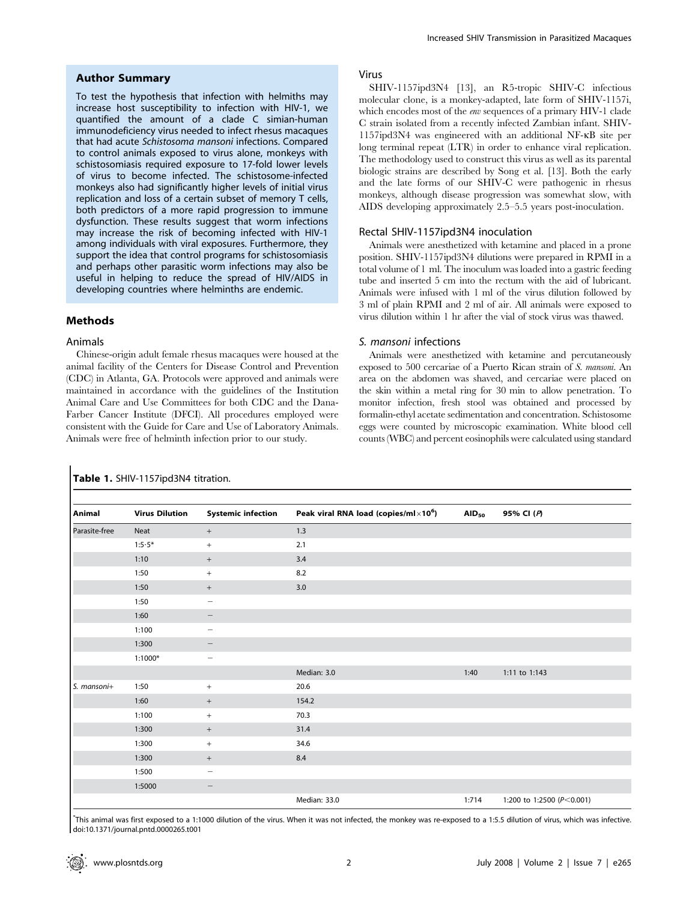#### Author Summary

To test the hypothesis that infection with helmiths may increase host susceptibility to infection with HIV-1, we quantified the amount of a clade C simian-human immunodeficiency virus needed to infect rhesus macaques that had acute Schistosoma mansoni infections. Compared to control animals exposed to virus alone, monkeys with schistosomiasis required exposure to 17-fold lower levels of virus to become infected. The schistosome-infected monkeys also had significantly higher levels of initial virus replication and loss of a certain subset of memory T cells, both predictors of a more rapid progression to immune dysfunction. These results suggest that worm infections may increase the risk of becoming infected with HIV-1 among individuals with viral exposures. Furthermore, they support the idea that control programs for schistosomiasis and perhaps other parasitic worm infections may also be useful in helping to reduce the spread of HIV/AIDS in developing countries where helminths are endemic.

#### Methods

#### Animals

Chinese-origin adult female rhesus macaques were housed at the animal facility of the Centers for Disease Control and Prevention (CDC) in Atlanta, GA. Protocols were approved and animals were maintained in accordance with the guidelines of the Institution Animal Care and Use Committees for both CDC and the Dana-Farber Cancer Institute (DFCI). All procedures employed were consistent with the Guide for Care and Use of Laboratory Animals. Animals were free of helminth infection prior to our study.

Table 1. SHIV-1157ipd3N4 titration.

#### Virus

SHIV-1157ipd3N4 [13], an R5-tropic SHIV-C infectious molecular clone, is a monkey-adapted, late form of SHIV-1157i, which encodes most of the env sequences of a primary HIV-1 clade C strain isolated from a recently infected Zambian infant. SHIV-1157ipd3N4 was engineered with an additional NF-kB site per long terminal repeat (LTR) in order to enhance viral replication. The methodology used to construct this virus as well as its parental biologic strains are described by Song et al. [13]. Both the early and the late forms of our SHIV-C were pathogenic in rhesus monkeys, although disease progression was somewhat slow, with AIDS developing approximately 2.5–5.5 years post-inoculation.

# Rectal SHIV-1157ipd3N4 inoculation

Animals were anesthetized with ketamine and placed in a prone position. SHIV-1157ipd3N4 dilutions were prepared in RPMI in a total volume of 1 ml. The inoculum was loaded into a gastric feeding tube and inserted 5 cm into the rectum with the aid of lubricant. Animals were infused with 1 ml of the virus dilution followed by 3 ml of plain RPMI and 2 ml of air. All animals were exposed to virus dilution within 1 hr after the vial of stock virus was thawed.

## S. mansoni infections

Animals were anesthetized with ketamine and percutaneously exposed to 500 cercariae of a Puerto Rican strain of S. mansoni. An area on the abdomen was shaved, and cercariae were placed on the skin within a metal ring for 30 min to allow penetration. To monitor infection, fresh stool was obtained and processed by formalin-ethyl acetate sedimentation and concentration. Schistosome eggs were counted by microscopic examination. White blood cell counts (WBC) and percent eosinophils were calculated using standard

| Animal        | <b>Virus Dilution</b> | <b>Systemic infection</b>        | Peak viral RNA load (copies/ml $\times 10^6$ ) | $AID_{50}$ | 95% CI (P)                    |
|---------------|-----------------------|----------------------------------|------------------------------------------------|------------|-------------------------------|
| Parasite-free | Neat                  | $\qquad \qquad +$                | 1.3                                            |            |                               |
|               | $1:5.5*$              | $\begin{array}{c} + \end{array}$ | 2.1                                            |            |                               |
|               | 1:10                  | $+$                              | 3.4                                            |            |                               |
|               | 1:50                  | $^{+}$                           | 8.2                                            |            |                               |
|               | 1:50                  | $+$                              | 3.0                                            |            |                               |
|               | 1:50                  | $\qquad \qquad -$                |                                                |            |                               |
|               | 1:60                  |                                  |                                                |            |                               |
|               | 1:100                 | -                                |                                                |            |                               |
|               | 1:300                 | -                                |                                                |            |                               |
|               | $1:1000*$             | $\overline{\phantom{m}}$         |                                                |            |                               |
|               |                       |                                  | Median: 3.0                                    | 1:40       | 1:11 to 1:143                 |
| S. mansoni+   | 1:50                  | $^{+}$                           | 20.6                                           |            |                               |
|               | 1:60                  | $^{+}$                           | 154.2                                          |            |                               |
|               | 1:100                 | $\begin{array}{c} + \end{array}$ | 70.3                                           |            |                               |
|               | 1:300                 | $+$                              | 31.4                                           |            |                               |
|               | 1:300                 | $^{+}$                           | 34.6                                           |            |                               |
|               | 1:300                 | $^{+}$                           | 8.4                                            |            |                               |
|               | 1:500                 | $\overline{\phantom{m}}$         |                                                |            |                               |
|               | 1:5000                | $\hspace{0.1mm}-\hspace{0.1mm}$  |                                                |            |                               |
|               |                       |                                  | Median: 33.0                                   | 1:714      | 1:200 to 1:2500 ( $P<0.001$ ) |

\* This animal was first exposed to a 1:1000 dilution of the virus. When it was not infected, the monkey was re-exposed to a 1:5.5 dilution of virus, which was infective. doi:10.1371/journal.pntd.0000265.t001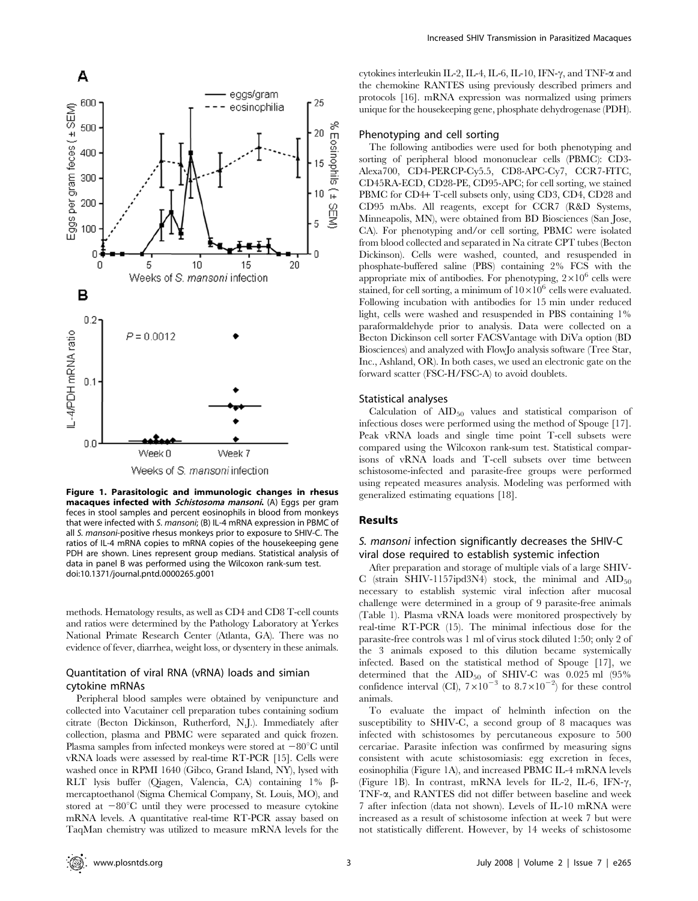

Figure 1. Parasitologic and immunologic changes in rhesus macaques infected with Schistosoma mansoni. (A) Eggs per gram feces in stool samples and percent eosinophils in blood from monkeys that were infected with S. mansoni; (B) IL-4 mRNA expression in PBMC of all S. mansoni-positive rhesus monkeys prior to exposure to SHIV-C. The ratios of IL-4 mRNA copies to mRNA copies of the housekeeping gene PDH are shown. Lines represent group medians. Statistical analysis of

data in panel B was performed using the Wilcoxon rank-sum test.

doi:10.1371/journal.pntd.0000265.g001

methods. Hematology results, as well as CD4 and CD8 T-cell counts and ratios were determined by the Pathology Laboratory at Yerkes National Primate Research Center (Atlanta, GA). There was no evidence of fever, diarrhea, weight loss, or dysentery in these animals.

# Quantitation of viral RNA (vRNA) loads and simian cytokine mRNAs

Peripheral blood samples were obtained by venipuncture and collected into Vacutainer cell preparation tubes containing sodium citrate (Becton Dickinson, Rutherford, N.J.). Immediately after collection, plasma and PBMC were separated and quick frozen. Plasma samples from infected monkeys were stored at  $-80^{\circ}$ C until vRNA loads were assessed by real-time RT-PCR [15]. Cells were washed once in RPMI 1640 (Gibco, Grand Island, NY), lysed with RLT lysis buffer (Qiagen, Valencia, CA) containing 1% bmercaptoethanol (Sigma Chemical Company, St. Louis, MO), and stored at  $-80^{\circ}$ C until they were processed to measure cytokine mRNA levels. A quantitative real-time RT-PCR assay based on TaqMan chemistry was utilized to measure mRNA levels for the cytokines interleukin IL-2, IL-4, IL-6, IL-10, IFN- $\gamma$ , and TNF- $\alpha$  and the chemokine RANTES using previously described primers and protocols [16]. mRNA expression was normalized using primers unique for the housekeeping gene, phosphate dehydrogenase (PDH).

# Phenotyping and cell sorting

The following antibodies were used for both phenotyping and sorting of peripheral blood mononuclear cells (PBMC): CD3- Alexa700, CD4-PERCP-Cy5.5, CD8-APC-Cy7, CCR7-FITC, CD45RA-ECD, CD28-PE, CD95-APC; for cell sorting, we stained PBMC for CD4+ T-cell subsets only, using CD3, CD4, CD28 and CD95 mAbs. All reagents, except for CCR7 (R&D Systems, Minneapolis, MN), were obtained from BD Biosciences (San Jose, CA). For phenotyping and/or cell sorting, PBMC were isolated from blood collected and separated in Na citrate CPT tubes (Becton Dickinson). Cells were washed, counted, and resuspended in phosphate-buffered saline (PBS) containing 2% FCS with the appropriate mix of antibodies. For phenotyping,  $2\times10^6$  cells were stained, for cell sorting, a minimum of  $10\times10^6$  cells were evaluated. Following incubation with antibodies for 15 min under reduced light, cells were washed and resuspended in PBS containing 1% paraformaldehyde prior to analysis. Data were collected on a Becton Dickinson cell sorter FACSVantage with DiVa option (BD Biosciences) and analyzed with FlowJo analysis software (Tree Star, Inc., Ashland, OR). In both cases, we used an electronic gate on the forward scatter (FSC-H/FSC-A) to avoid doublets.

#### Statistical analyses

Calculation of  $\text{AID}_{50}$  values and statistical comparison of infectious doses were performed using the method of Spouge [17]. Peak vRNA loads and single time point T-cell subsets were compared using the Wilcoxon rank-sum test. Statistical comparisons of vRNA loads and T-cell subsets over time between schistosome-infected and parasite-free groups were performed using repeated measures analysis. Modeling was performed with generalized estimating equations [18].

## Results

# S. mansoni infection significantly decreases the SHIV-C viral dose required to establish systemic infection

After preparation and storage of multiple vials of a large SHIV-C (strain SHIV-1157ipd3N4) stock, the minimal and  $\text{AID}_{50}$ necessary to establish systemic viral infection after mucosal challenge were determined in a group of 9 parasite-free animals (Table 1). Plasma vRNA loads were monitored prospectively by real-time RT-PCR (15). The minimal infectious dose for the parasite-free controls was 1 ml of virus stock diluted 1:50; only 2 of the 3 animals exposed to this dilution became systemically infected. Based on the statistical method of Spouge [17], we determined that the  $AID_{50}$  of SHIV-C was 0.025 ml (95%) confidence interval (CI),  $7 \times 10^{-3}$  to  $8.7 \times 10^{-2}$ ) for these control animals.

To evaluate the impact of helminth infection on the susceptibility to SHIV-C, a second group of 8 macaques was infected with schistosomes by percutaneous exposure to 500 cercariae. Parasite infection was confirmed by measuring signs consistent with acute schistosomiasis: egg excretion in feces, eosinophilia (Figure 1A), and increased PBMC IL-4 mRNA levels (Figure 1B). In contrast, mRNA levels for IL-2, IL-6, IFN- $\gamma$ , TNF-a, and RANTES did not differ between baseline and week 7 after infection (data not shown). Levels of IL-10 mRNA were increased as a result of schistosome infection at week 7 but were not statistically different. However, by 14 weeks of schistosome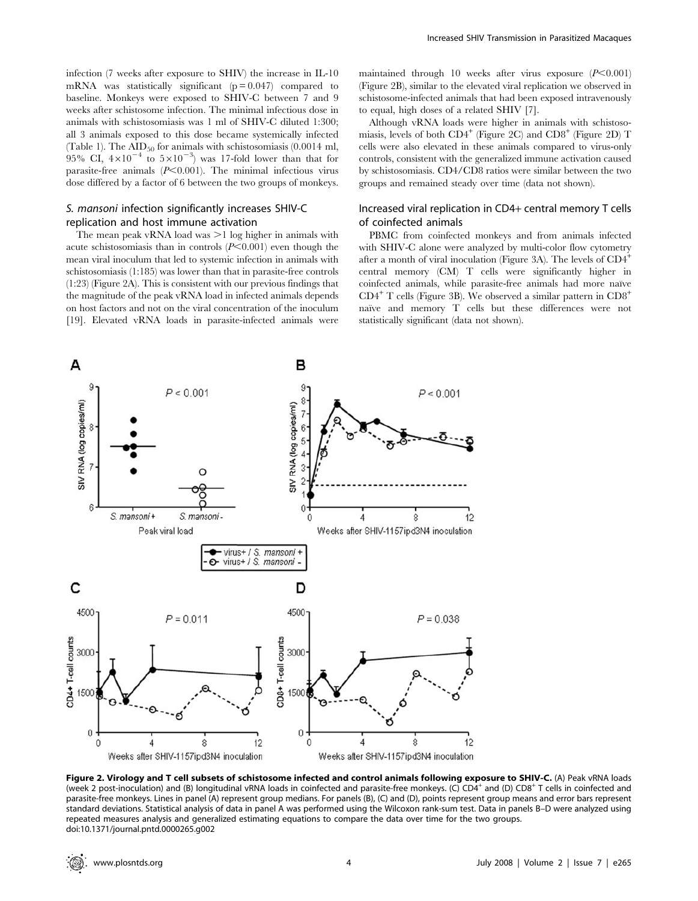infection (7 weeks after exposure to SHIV) the increase in IL-10 mRNA was statistically significant  $(p = 0.047)$  compared to baseline. Monkeys were exposed to SHIV-C between 7 and 9 weeks after schistosome infection. The minimal infectious dose in animals with schistosomiasis was 1 ml of SHIV-C diluted 1:300; all 3 animals exposed to this dose became systemically infected (Table 1). The  $\text{AID}_{50}$  for animals with schistosomiasis (0.0014 ml, 95% CI,  $4\times10^{-4}$  to  $5\times10^{-3}$ ) was 17-fold lower than that for parasite-free animals  $(P<0.001)$ . The minimal infectious virus dose differed by a factor of 6 between the two groups of monkeys.

# S. mansoni infection significantly increases SHIV-C replication and host immune activation

 $P < 0.001$ 

S. mansoni

 $P = 0.011$ 

A

 $\mathcal{L}$ 

SIV RNA (log copies/ml)

 $\kappa$ 

C

CD4+T-cell counts

4500

3000

150

S. mansoni +

Peak viral load

The mean peak vRNA load was  $>1$  log higher in animals with acute schistosomiasis than in controls  $(P<0.001)$  even though the mean viral inoculum that led to systemic infection in animals with schistosomiasis (1:185) was lower than that in parasite-free controls (1:23) (Figure 2A). This is consistent with our previous findings that the magnitude of the peak vRNA load in infected animals depends on host factors and not on the viral concentration of the inoculum [19]. Elevated vRNA loads in parasite-infected animals were

в

8

 $\Omega$ 

D

4500

3000

1500

CD8+T-cell counts

virus+ / S. mansoni + virus+ / S. mansoni

 $\mathbf{r}$ 

SIV RNA (log copies/ml)

maintained through 10 weeks after virus exposure  $(P<0.001)$ (Figure 2B), similar to the elevated viral replication we observed in schistosome-infected animals that had been exposed intravenously to equal, high doses of a related SHIV [7].

Although vRNA loads were higher in animals with schistosomiasis, levels of both  $CD4^+$  (Figure 2C) and  $CD8^+$  (Figure 2D) T cells were also elevated in these animals compared to virus-only controls, consistent with the generalized immune activation caused by schistosomiasis. CD4/CD8 ratios were similar between the two groups and remained steady over time (data not shown).

# Increased viral replication in CD4+ central memory T cells of coinfected animals

PBMC from coinfected monkeys and from animals infected with SHIV-C alone were analyzed by multi-color flow cytometry after a month of viral inoculation (Figure 3A). The levels of  $CD4^+$ central memory (CM) T cells were significantly higher in coinfected animals, while parasite-free animals had more naïve  $CD4^+$  T cells (Figure 3B). We observed a similar pattern in  $CD8^+$ naïve and memory T cells but these differences were not statistically significant (data not shown).

 $P < 0.001$ 

 $\hat{8}$ 

 $P = 0.038$ 

Weeks after SHIV-1157ipd3N4 inoculation

 $12$ 

 $\overline{A}$ 

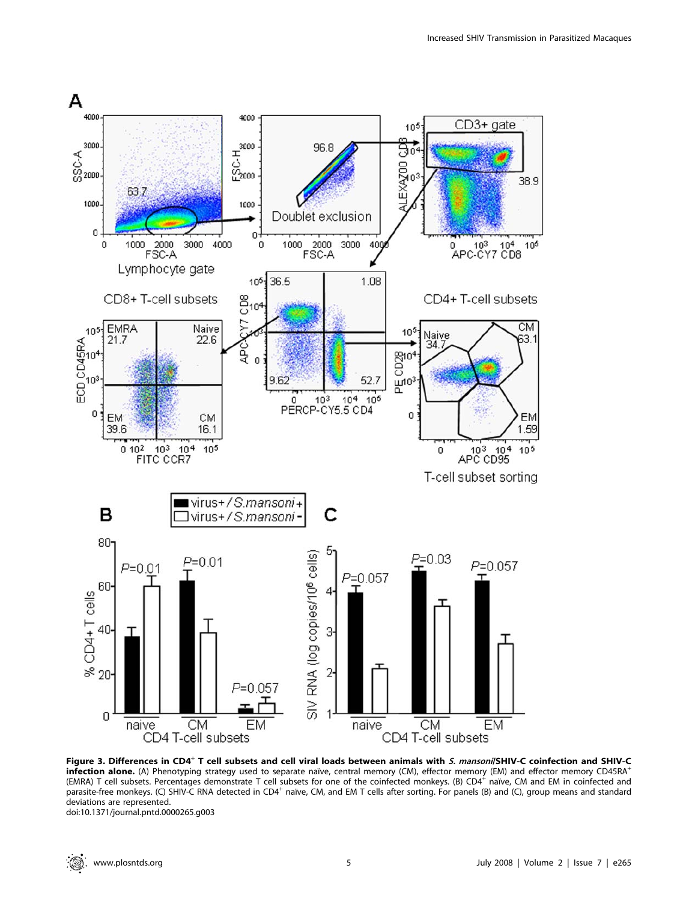

Figure 3. Differences in CD4<sup>+</sup> T cell subsets and cell viral loads between animals with S. mansoni/SHIV-C coinfection and SHIV-C infection alone. (A) Phenotyping strategy used to separate naïve, central memory (CM), effector memory (EM) and effector memory CD45RA<sup>+</sup> (EMRA) T cell subsets. Percentages demonstrate T cell subsets for one of the coinfected monkeys. (B)  $CD4^+$  naı̈ve, CM and EM in coinfected and parasite-free monkeys. (C) SHIV-C RNA detected in CD4<sup>+</sup> naïve, CM, and EM T cells after sorting. For panels (B) and (C), group means and standard deviations are represented.

doi:10.1371/journal.pntd.0000265.g003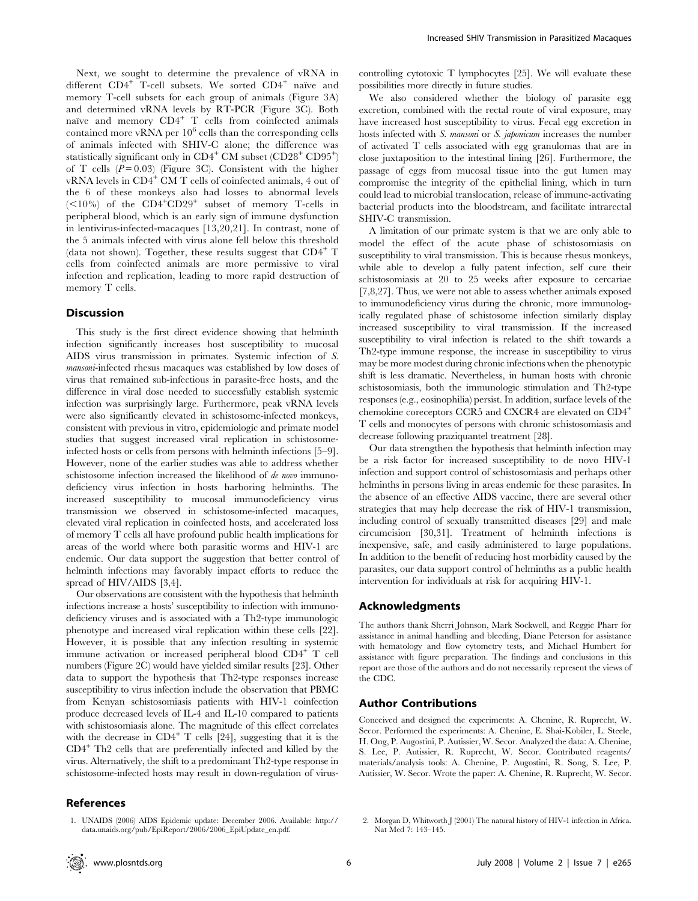Next, we sought to determine the prevalence of vRNA in different  $CD4^+$  T-cell subsets. We sorted  $CD4^+$  naïve and memory T-cell subsets for each group of animals (Figure 3A) and determined vRNA levels by RT-PCR (Figure 3C). Both naïve and memory  $CD4^+$  T cells from coinfected animals contained more vRNA per  $10^6$  cells than the corresponding cells of animals infected with SHIV-C alone; the difference was statistically significant only in  $\text{CD4}^+ \text{ CM}$  subset  $(\text{CD28}^+ \text{ CD95}^+)$ of T cells  $(P = 0.03)$  (Figure 3C). Consistent with the higher vRNA levels in CD4<sup>+</sup> CM T cells of coinfected animals, 4 out of the 6 of these monkeys also had losses to abnormal levels  $(<10\%)$  of the CD4<sup>+</sup>CD29<sup>+</sup> subset of memory T-cells in peripheral blood, which is an early sign of immune dysfunction in lentivirus-infected-macaques [13,20,21]. In contrast, none of the 5 animals infected with virus alone fell below this threshold (data not shown). Together, these results suggest that  $CD4^+$  T cells from coinfected animals are more permissive to viral infection and replication, leading to more rapid destruction of memory T cells.

#### **Discussion**

This study is the first direct evidence showing that helminth infection significantly increases host susceptibility to mucosal AIDS virus transmission in primates. Systemic infection of S. mansoni-infected rhesus macaques was established by low doses of virus that remained sub-infectious in parasite-free hosts, and the difference in viral dose needed to successfully establish systemic infection was surprisingly large. Furthermore, peak vRNA levels were also significantly elevated in schistosome-infected monkeys, consistent with previous in vitro, epidemiologic and primate model studies that suggest increased viral replication in schistosomeinfected hosts or cells from persons with helminth infections [5–9]. However, none of the earlier studies was able to address whether schistosome infection increased the likelihood of de novo immunodeficiency virus infection in hosts harboring helminths. The increased susceptibility to mucosal immunodeficiency virus transmission we observed in schistosome-infected macaques, elevated viral replication in coinfected hosts, and accelerated loss of memory T cells all have profound public health implications for areas of the world where both parasitic worms and HIV-1 are endemic. Our data support the suggestion that better control of helminth infections may favorably impact efforts to reduce the spread of HIV/AIDS [3,4].

Our observations are consistent with the hypothesis that helminth infections increase a hosts' susceptibility to infection with immunodeficiency viruses and is associated with a Th2-type immunologic phenotype and increased viral replication within these cells [22]. However, it is possible that any infection resulting in systemic immune activation or increased peripheral blood CD4<sup>+</sup> T cell numbers (Figure 2C) would have yielded similar results [23]. Other data to support the hypothesis that Th2-type responses increase susceptibility to virus infection include the observation that PBMC from Kenyan schistosomiasis patients with HIV-1 coinfection produce decreased levels of IL-4 and IL-10 compared to patients with schistosomiasis alone. The magnitude of this effect correlates with the decrease in  $CD4^+$  T cells [24], suggesting that it is the CD4<sup>+</sup> Th2 cells that are preferentially infected and killed by the virus. Alternatively, the shift to a predominant Th2-type response in schistosome-infected hosts may result in down-regulation of virus-

## References

1. UNAIDS (2006) AIDS Epidemic update: December 2006. Available: http:// data.unaids.org/pub/EpiReport/2006/2006\_EpiUpdate\_en.pdf.

controlling cytotoxic T lymphocytes [25]. We will evaluate these possibilities more directly in future studies.

We also considered whether the biology of parasite egg excretion, combined with the rectal route of viral exposure, may have increased host susceptibility to virus. Fecal egg excretion in hosts infected with S. mansoni or S. japonicum increases the number of activated T cells associated with egg granulomas that are in close juxtaposition to the intestinal lining [26]. Furthermore, the passage of eggs from mucosal tissue into the gut lumen may compromise the integrity of the epithelial lining, which in turn could lead to microbial translocation, release of immune-activating bacterial products into the bloodstream, and facilitate intrarectal SHIV-C transmission.

A limitation of our primate system is that we are only able to model the effect of the acute phase of schistosomiasis on susceptibility to viral transmission. This is because rhesus monkeys, while able to develop a fully patent infection, self cure their schistosomiasis at 20 to 25 weeks after exposure to cercariae [7,8,27]. Thus, we were not able to assess whether animals exposed to immunodeficiency virus during the chronic, more immunologically regulated phase of schistosome infection similarly display increased susceptibility to viral transmission. If the increased susceptibility to viral infection is related to the shift towards a Th2-type immune response, the increase in susceptibility to virus may be more modest during chronic infections when the phenotypic shift is less dramatic. Nevertheless, in human hosts with chronic schistosomiasis, both the immunologic stimulation and Th2-type responses (e.g., eosinophilia) persist. In addition, surface levels of the chemokine coreceptors CCR5 and CXCR4 are elevated on CD4<sup>+</sup> T cells and monocytes of persons with chronic schistosomiasis and decrease following praziquantel treatment [28].

Our data strengthen the hypothesis that helminth infection may be a risk factor for increased susceptibility to de novo HIV-1 infection and support control of schistosomiasis and perhaps other helminths in persons living in areas endemic for these parasites. In the absence of an effective AIDS vaccine, there are several other strategies that may help decrease the risk of HIV-1 transmission, including control of sexually transmitted diseases [29] and male circumcision [30,31]. Treatment of helminth infections is inexpensive, safe, and easily administered to large populations. In addition to the benefit of reducing host morbidity caused by the parasites, our data support control of helminths as a public health intervention for individuals at risk for acquiring HIV-1.

#### Acknowledgments

The authors thank Sherri Johnson, Mark Sockwell, and Reggie Pharr for assistance in animal handling and bleeding, Diane Peterson for assistance with hematology and flow cytometry tests, and Michael Humbert for assistance with figure preparation. The findings and conclusions in this report are those of the authors and do not necessarily represent the views of the CDC.

## Author Contributions

Conceived and designed the experiments: A. Chenine, R. Ruprecht, W. Secor. Performed the experiments: A. Chenine, E. Shai-Kobiler, L. Steele, H. Ong, P. Augostini, P. Autissier, W. Secor. Analyzed the data: A. Chenine, S. Lee, P. Autissier, R. Ruprecht, W. Secor. Contributed reagents/ materials/analysis tools: A. Chenine, P. Augostini, R. Song, S. Lee, P. Autissier, W. Secor. Wrote the paper: A. Chenine, R. Ruprecht, W. Secor.

2. Morgan D, Whitworth J (2001) The natural history of HIV-1 infection in Africa. Nat Med 7: 143–145.